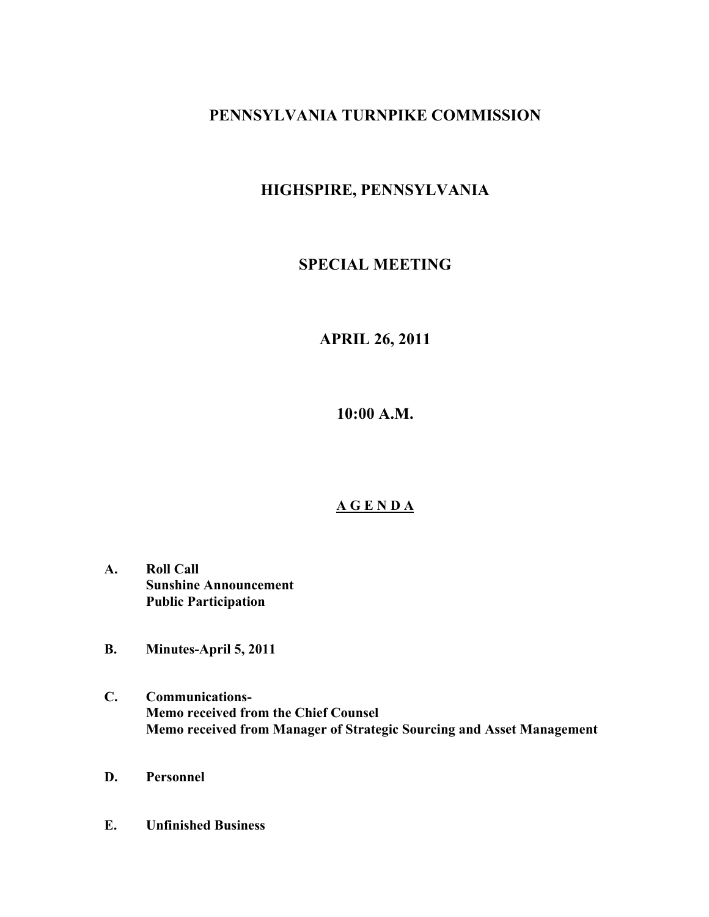## **PENNSYLVANIA TURNPIKE COMMISSION**

# **HIGHSPIRE, PENNSYLVANIA**

## **SPECIAL MEETING**

## **APRIL 26, 2011**

**10:00 A.M.**

### **A G E N D A**

- **A. Roll Call Sunshine Announcement Public Participation**
- **B. Minutes-April 5, 2011**
- **C. Communications-Memo received from the Chief Counsel Memo received from Manager of Strategic Sourcing and Asset Management**
- **D. Personnel**
- **E. Unfinished Business**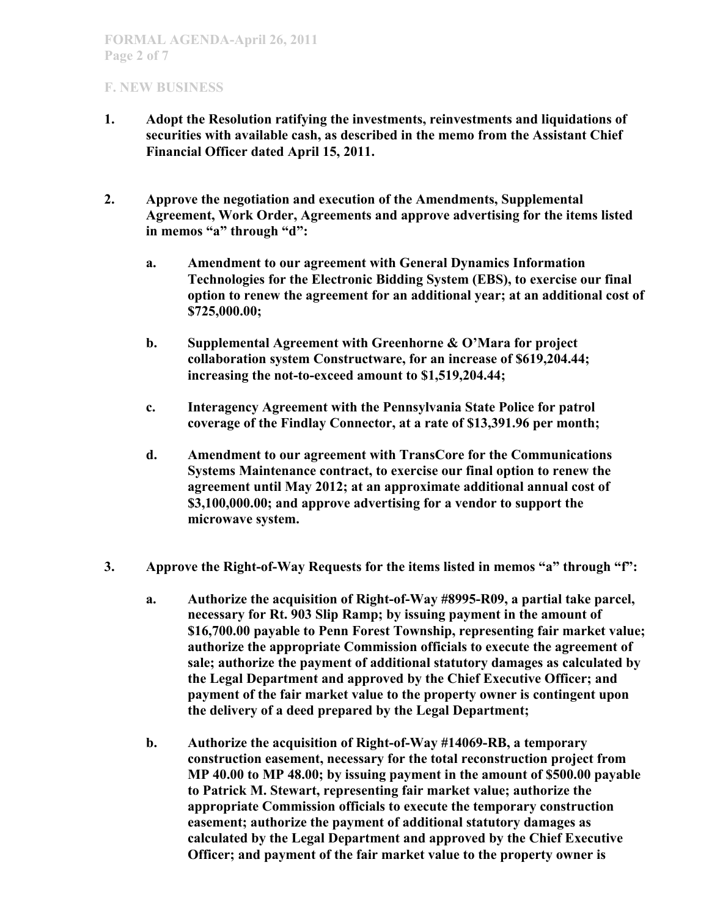- **1. Adopt the Resolution ratifying the investments, reinvestments and liquidations of securities with available cash, as described in the memo from the Assistant Chief Financial Officer dated April 15, 2011.**
- **2. Approve the negotiation and execution of the Amendments, Supplemental Agreement, Work Order, Agreements and approve advertising for the items listed in memos "a" through "d":**
	- **a. Amendment to our agreement with General Dynamics Information Technologies for the Electronic Bidding System (EBS), to exercise our final option to renew the agreement for an additional year; at an additional cost of \$725,000.00;**
	- **b. Supplemental Agreement with Greenhorne & O'Mara for project collaboration system Constructware, for an increase of \$619,204.44; increasing the not-to-exceed amount to \$1,519,204.44;**
	- **c. Interagency Agreement with the Pennsylvania State Police for patrol coverage of the Findlay Connector, at a rate of \$13,391.96 per month;**
	- **d. Amendment to our agreement with TransCore for the Communications Systems Maintenance contract, to exercise our final option to renew the agreement until May 2012; at an approximate additional annual cost of \$3,100,000.00; and approve advertising for a vendor to support the microwave system.**
- **3. Approve the Right-of-Way Requests for the items listed in memos "a" through "f":**
	- **a. Authorize the acquisition of Right-of-Way #8995-R09, a partial take parcel, necessary for Rt. 903 Slip Ramp; by issuing payment in the amount of \$16,700.00 payable to Penn Forest Township, representing fair market value; authorize the appropriate Commission officials to execute the agreement of sale; authorize the payment of additional statutory damages as calculated by the Legal Department and approved by the Chief Executive Officer; and payment of the fair market value to the property owner is contingent upon the delivery of a deed prepared by the Legal Department;**
	- **b. Authorize the acquisition of Right-of-Way #14069-RB, a temporary construction easement, necessary for the total reconstruction project from MP 40.00 to MP 48.00; by issuing payment in the amount of \$500.00 payable to Patrick M. Stewart, representing fair market value; authorize the appropriate Commission officials to execute the temporary construction easement; authorize the payment of additional statutory damages as calculated by the Legal Department and approved by the Chief Executive Officer; and payment of the fair market value to the property owner is**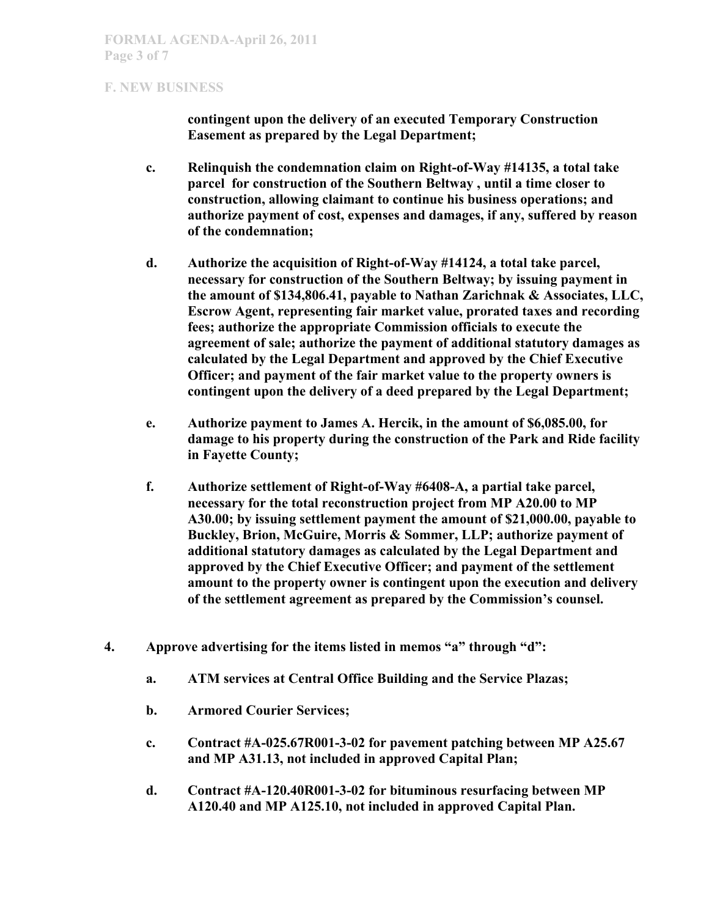**contingent upon the delivery of an executed Temporary Construction Easement as prepared by the Legal Department;** 

- **c. Relinquish the condemnation claim on Right-of-Way #14135, a total take parcel for construction of the Southern Beltway , until a time closer to construction, allowing claimant to continue his business operations; and authorize payment of cost, expenses and damages, if any, suffered by reason of the condemnation;**
- **d. Authorize the acquisition of Right-of-Way #14124, a total take parcel, necessary for construction of the Southern Beltway; by issuing payment in the amount of \$134,806.41, payable to Nathan Zarichnak & Associates, LLC, Escrow Agent, representing fair market value, prorated taxes and recording fees; authorize the appropriate Commission officials to execute the agreement of sale; authorize the payment of additional statutory damages as calculated by the Legal Department and approved by the Chief Executive Officer; and payment of the fair market value to the property owners is contingent upon the delivery of a deed prepared by the Legal Department;**
- **e. Authorize payment to James A. Hercik, in the amount of \$6,085.00, for damage to his property during the construction of the Park and Ride facility in Fayette County;**
- **f. Authorize settlement of Right-of-Way #6408-A, a partial take parcel, necessary for the total reconstruction project from MP A20.00 to MP A30.00; by issuing settlement payment the amount of \$21,000.00, payable to Buckley, Brion, McGuire, Morris & Sommer, LLP; authorize payment of additional statutory damages as calculated by the Legal Department and approved by the Chief Executive Officer; and payment of the settlement amount to the property owner is contingent upon the execution and delivery of the settlement agreement as prepared by the Commission's counsel.**
- **4. Approve advertising for the items listed in memos "a" through "d":**
	- **a. ATM services at Central Office Building and the Service Plazas;**
	- **b. Armored Courier Services;**
	- **c. Contract #A-025.67R001-3-02 for pavement patching between MP A25.67 and MP A31.13, not included in approved Capital Plan;**
	- **d. Contract #A-120.40R001-3-02 for bituminous resurfacing between MP A120.40 and MP A125.10, not included in approved Capital Plan.**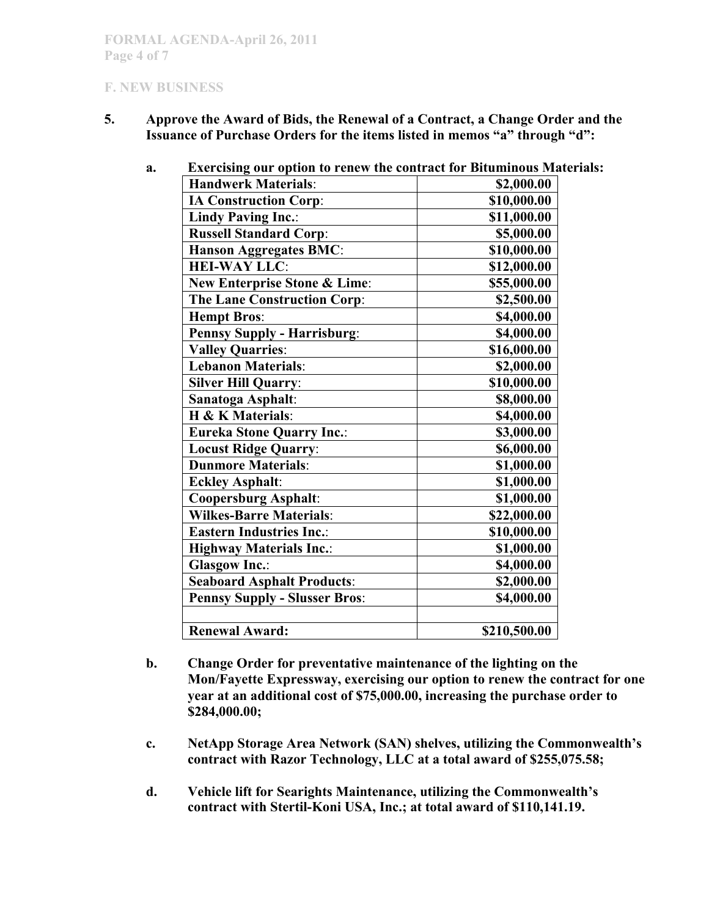**5. Approve the Award of Bids, the Renewal of a Contract, a Change Order and the Issuance of Purchase Orders for the items listed in memos "a" through "d":**

| Exercising our option to renew the contract for Bituminous Mat |              |
|----------------------------------------------------------------|--------------|
| <b>Handwerk Materials:</b>                                     | \$2,000.00   |
| <b>IA Construction Corp:</b>                                   | \$10,000.00  |
| <b>Lindy Paving Inc.:</b>                                      | \$11,000.00  |
| <b>Russell Standard Corp:</b>                                  | \$5,000.00   |
| <b>Hanson Aggregates BMC:</b>                                  | \$10,000.00  |
| <b>HEI-WAY LLC:</b>                                            | \$12,000.00  |
| <b>New Enterprise Stone &amp; Lime:</b>                        | \$55,000.00  |
| <b>The Lane Construction Corp:</b>                             | \$2,500.00   |
| <b>Hempt Bros:</b>                                             | \$4,000.00   |
| <b>Pennsy Supply - Harrisburg:</b>                             | \$4,000.00   |
| <b>Valley Quarries:</b>                                        | \$16,000.00  |
| <b>Lebanon Materials:</b>                                      | \$2,000.00   |
| <b>Silver Hill Quarry:</b>                                     | \$10,000.00  |
| Sanatoga Asphalt:                                              | \$8,000.00   |
| H & K Materials:                                               | \$4,000.00   |
| <b>Eureka Stone Quarry Inc.:</b>                               | \$3,000.00   |
| <b>Locust Ridge Quarry:</b>                                    | \$6,000.00   |
| <b>Dunmore Materials:</b>                                      | \$1,000.00   |
| <b>Eckley Asphalt:</b>                                         | \$1,000.00   |
| <b>Coopersburg Asphalt:</b>                                    | \$1,000.00   |
| <b>Wilkes-Barre Materials:</b>                                 | \$22,000.00  |
| <b>Eastern Industries Inc.:</b>                                | \$10,000.00  |
| <b>Highway Materials Inc.:</b>                                 | \$1,000.00   |
| <b>Glasgow Inc.:</b>                                           | \$4,000.00   |
| <b>Seaboard Asphalt Products:</b>                              | \$2,000.00   |
| <b>Pennsy Supply - Slusser Bros:</b>                           | \$4,000.00   |
| <b>Renewal Award:</b>                                          | \$210,500.00 |
|                                                                |              |

**a. Exercising our option to renew the contract for Bituminous Materials:**

- **b. Change Order for preventative maintenance of the lighting on the Mon/Fayette Expressway, exercising our option to renew the contract for one year at an additional cost of \$75,000.00, increasing the purchase order to \$284,000.00;**
- **c. NetApp Storage Area Network (SAN) shelves, utilizing the Commonwealth's contract with Razor Technology, LLC at a total award of \$255,075.58;**
- **d. Vehicle lift for Searights Maintenance, utilizing the Commonwealth's contract with Stertil-Koni USA, Inc.; at total award of \$110,141.19.**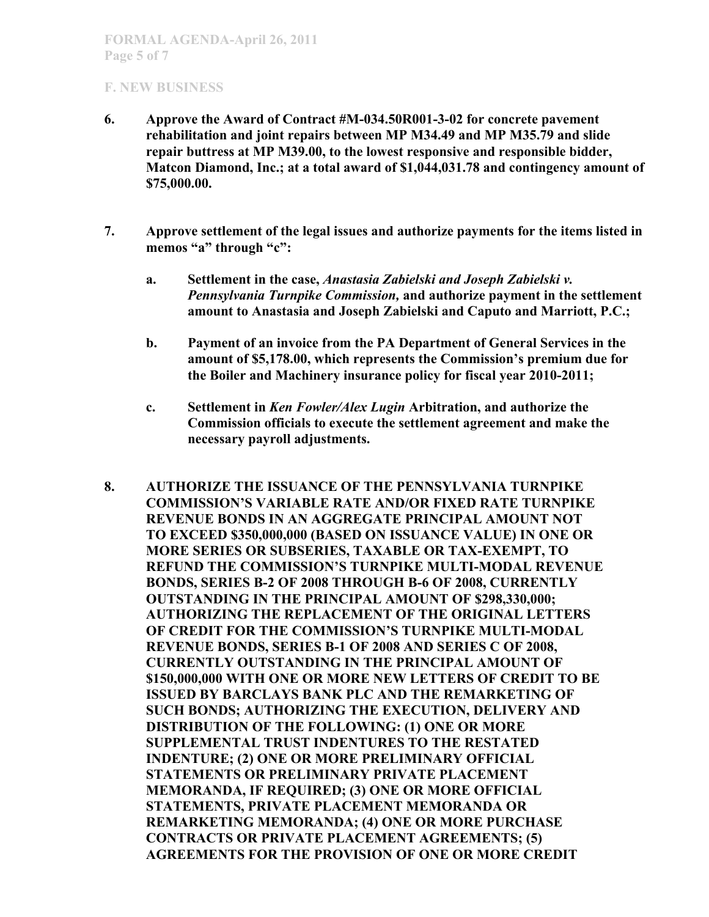- **6. Approve the Award of Contract #M-034.50R001-3-02 for concrete pavement rehabilitation and joint repairs between MP M34.49 and MP M35.79 and slide repair buttress at MP M39.00, to the lowest responsive and responsible bidder, Matcon Diamond, Inc.; at a total award of \$1,044,031.78 and contingency amount of \$75,000.00.**
- **7. Approve settlement of the legal issues and authorize payments for the items listed in memos "a" through "c":**
	- **a. Settlement in the case,** *Anastasia Zabielski and Joseph Zabielski v. Pennsylvania Turnpike Commission,* **and authorize payment in the settlement amount to Anastasia and Joseph Zabielski and Caputo and Marriott, P.C.;**
	- **b. Payment of an invoice from the PA Department of General Services in the amount of \$5,178.00, which represents the Commission's premium due for the Boiler and Machinery insurance policy for fiscal year 2010-2011;**
	- **c. Settlement in** *Ken Fowler/Alex Lugin* **Arbitration, and authorize the Commission officials to execute the settlement agreement and make the necessary payroll adjustments.**
- **8. AUTHORIZE THE ISSUANCE OF THE PENNSYLVANIA TURNPIKE COMMISSION'S VARIABLE RATE AND/OR FIXED RATE TURNPIKE REVENUE BONDS IN AN AGGREGATE PRINCIPAL AMOUNT NOT TO EXCEED \$350,000,000 (BASED ON ISSUANCE VALUE) IN ONE OR MORE SERIES OR SUBSERIES, TAXABLE OR TAX-EXEMPT, TO REFUND THE COMMISSION'S TURNPIKE MULTI-MODAL REVENUE BONDS, SERIES B-2 OF 2008 THROUGH B-6 OF 2008, CURRENTLY OUTSTANDING IN THE PRINCIPAL AMOUNT OF \$298,330,000; AUTHORIZING THE REPLACEMENT OF THE ORIGINAL LETTERS OF CREDIT FOR THE COMMISSION'S TURNPIKE MULTI-MODAL REVENUE BONDS, SERIES B-1 OF 2008 AND SERIES C OF 2008, CURRENTLY OUTSTANDING IN THE PRINCIPAL AMOUNT OF \$150,000,000 WITH ONE OR MORE NEW LETTERS OF CREDIT TO BE ISSUED BY BARCLAYS BANK PLC AND THE REMARKETING OF SUCH BONDS; AUTHORIZING THE EXECUTION, DELIVERY AND DISTRIBUTION OF THE FOLLOWING: (1) ONE OR MORE SUPPLEMENTAL TRUST INDENTURES TO THE RESTATED INDENTURE; (2) ONE OR MORE PRELIMINARY OFFICIAL STATEMENTS OR PRELIMINARY PRIVATE PLACEMENT MEMORANDA, IF REQUIRED; (3) ONE OR MORE OFFICIAL STATEMENTS, PRIVATE PLACEMENT MEMORANDA OR REMARKETING MEMORANDA; (4) ONE OR MORE PURCHASE CONTRACTS OR PRIVATE PLACEMENT AGREEMENTS; (5) AGREEMENTS FOR THE PROVISION OF ONE OR MORE CREDIT**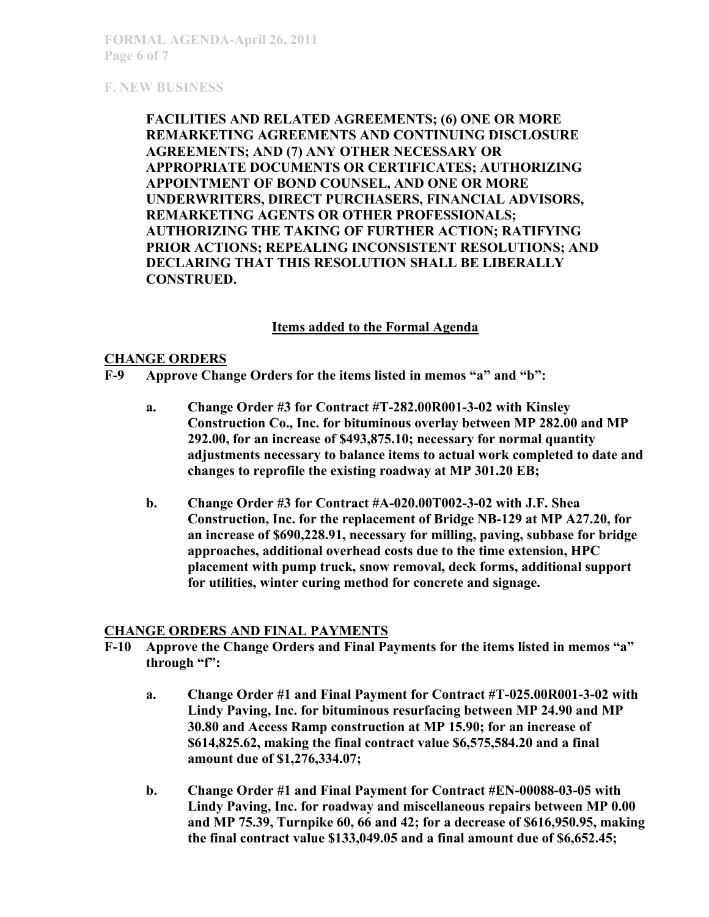**FACILITIES AND RELATED AGREEMENTS; (6) ONE OR MORE REMARKETING AGREEMENTS AND CONTINUING DISCLOSURE AGREEMENTS; AND (7) ANY OTHER NECESSARY OR APPROPRIATE DOCUMENTS OR CERTIFICATES; AUTHORIZING APPOINTMENT OF BOND COUNSEL, AND ONE OR MORE UNDERWRITERS, DIRECT PURCHASERS, FINANCIAL ADVISORS, REMARKETING AGENTS OR OTHER PROFESSIONALS; AUTHORIZING THE TAKING OF FURTHER ACTION; RATIFYING PRIOR ACTIONS; REPEALING INCONSISTENT RESOLUTIONS; AND DECLARING THAT THIS RESOLUTION SHALL BE LIBERALLY CONSTRUED.**

#### **Items added to the Formal Agenda**

#### **CHANGE ORDERS**

- **F-9 Approve Change Orders for the items listed in memos "a" and "b":**
	- **a. Change Order #3 for Contract #T-282.00R001-3-02 with Kinsley Construction Co., Inc. for bituminous overlay between MP 282.00 and MP 292.00, for an increase of \$493,875.10; necessary for normal quantity adjustments necessary to balance items to actual work completed to date and changes to reprofile the existing roadway at MP 301.20 EB;**
	- **b. Change Order #3 for Contract #A-020.00T002-3-02 with J.F. Shea Construction, Inc. for the replacement of Bridge NB-129 at MP A27.20, for an increase of \$690,228.91, necessary for milling, paving, subbase for bridge approaches, additional overhead costs due to the time extension, HPC placement with pump truck, snow removal, deck forms, additional support for utilities, winter curing method for concrete and signage.**

#### **CHANGE ORDERS AND FINAL PAYMENTS**

- **F-10 Approve the Change Orders and Final Payments for the items listed in memos "a" through "f":**
	- **a. Change Order #1 and Final Payment for Contract #T-025.00R001-3-02 with Lindy Paving, Inc. for bituminous resurfacing between MP 24.90 and MP 30.80 and Access Ramp construction at MP 15.90; for an increase of \$614,825.62, making the final contract value \$6,575,584.20 and a final amount due of \$1,276,334.07;**
	- **b. Change Order #1 and Final Payment for Contract #EN-00088-03-05 with Lindy Paving, Inc. for roadway and miscellaneous repairs between MP 0.00 and MP 75.39, Turnpike 60, 66 and 42; for a decrease of \$616,950.95, making the final contract value \$133,049.05 and a final amount due of \$6,652.45;**